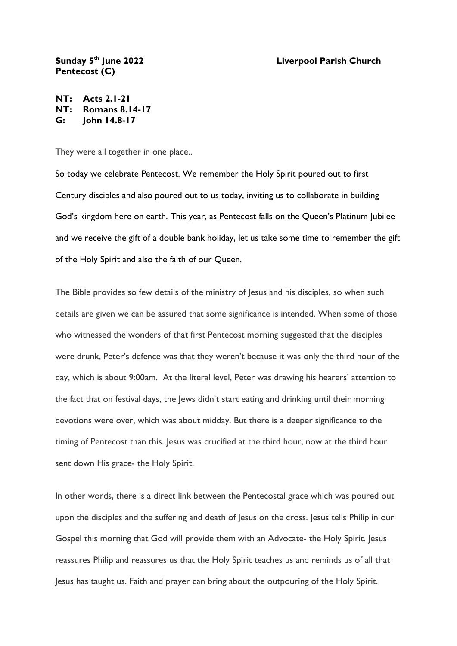## **Liverpool Parish Church**

## Sunday 5<sup>th</sup> June 2022 **Pentecost (C)**

**NT: Acts 2.1-21 NT: Romans 8.14-17 G: John 14.8-17**

They were all together in one place..

So today we celebrate Pentecost. We remember the Holy Spirit poured out to first Century disciples and also poured out to us today, inviting us to collaborate in building God's kingdom here on earth. This year, as Pentecost falls on the Queen's Platinum Jubilee and we receive the gift of a double bank holiday, let us take some time to remember the gift of the Holy Spirit and also the faith of our Queen.

The Bible provides so few details of the ministry of Jesus and his disciples, so when such details are given we can be assured that some significance is intended. When some of those who witnessed the wonders of that first Pentecost morning suggested that the disciples were drunk, Peter's defence was that they weren't because it was only the third hour of the day, which is about 9:00am. At the literal level, Peter was drawing his hearers' attention to the fact that on festival days, the Jews didn't start eating and drinking until their morning devotions were over, which was about midday. But there is a deeper significance to the timing of Pentecost than this. Jesus was crucified at the third hour, now at the third hour sent down His grace- the Holy Spirit.

In other words, there is a direct link between the Pentecostal grace which was poured out upon the disciples and the suffering and death of Jesus on the cross. Jesus tells Philip in our Gospel this morning that God will provide them with an Advocate- the Holy Spirit. Jesus reassures Philip and reassures us that the Holy Spirit teaches us and reminds us of all that Jesus has taught us. Faith and prayer can bring about the outpouring of the Holy Spirit.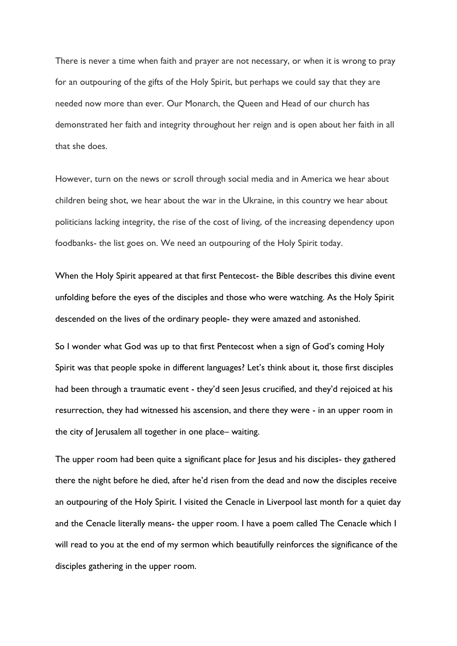There is never a time when faith and prayer are not necessary, or when it is wrong to pray for an outpouring of the gifts of the Holy Spirit, but perhaps we could say that they are needed now more than ever. Our Monarch, the Queen and Head of our church has demonstrated her faith and integrity throughout her reign and is open about her faith in all that she does.

However, turn on the news or scroll through social media and in America we hear about children being shot, we hear about the war in the Ukraine, in this country we hear about politicians lacking integrity, the rise of the cost of living, of the increasing dependency upon foodbanks- the list goes on. We need an outpouring of the Holy Spirit today.

When the Holy Spirit appeared at that first Pentecost- the Bible describes this divine event unfolding before the eyes of the disciples and those who were watching. As the Holy Spirit descended on the lives of the ordinary people- they were amazed and astonished.

So I wonder what God was up to that first Pentecost when a sign of God's coming Holy Spirit was that people spoke in different languages? Let's think about it, those first disciples had been through a traumatic event - they'd seen Jesus crucified, and they'd rejoiced at his resurrection, they had witnessed his ascension, and there they were - in an upper room in the city of Jerusalem all together in one place– waiting.

The upper room had been quite a significant place for Jesus and his disciples- they gathered there the night before he died, after he'd risen from the dead and now the disciples receive an outpouring of the Holy Spirit. I visited the Cenacle in Liverpool last month for a quiet day and the Cenacle literally means- the upper room. I have a poem called The Cenacle which I will read to you at the end of my sermon which beautifully reinforces the significance of the disciples gathering in the upper room.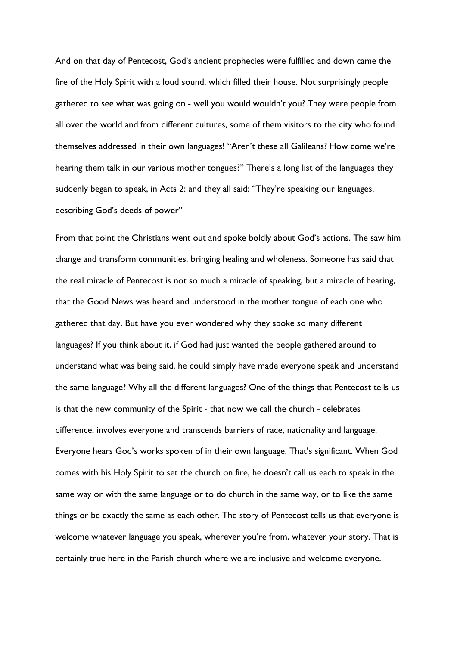And on that day of Pentecost, God's ancient prophecies were fulfilled and down came the fire of the Holy Spirit with a loud sound, which filled their house. Not surprisingly people gathered to see what was going on - well you would wouldn't you? They were people from all over the world and from different cultures, some of them visitors to the city who found themselves addressed in their own languages! "Aren't these all Galileans? How come we're hearing them talk in our various mother tongues?" There's a long list of the languages they suddenly began to speak, in Acts 2: and they all said: "They're speaking our languages, describing God's deeds of power"

From that point the Christians went out and spoke boldly about God's actions. The saw him change and transform communities, bringing healing and wholeness. Someone has said that the real miracle of Pentecost is not so much a miracle of speaking, but a miracle of hearing, that the Good News was heard and understood in the mother tongue of each one who gathered that day. But have you ever wondered why they spoke so many different languages? If you think about it, if God had just wanted the people gathered around to understand what was being said, he could simply have made everyone speak and understand the same language? Why all the different languages? One of the things that Pentecost tells us is that the new community of the Spirit - that now we call the church - celebrates difference, involves everyone and transcends barriers of race, nationality and language. Everyone hears God's works spoken of in their own language. That's significant. When God comes with his Holy Spirit to set the church on fire, he doesn't call us each to speak in the same way or with the same language or to do church in the same way, or to like the same things or be exactly the same as each other. The story of Pentecost tells us that everyone is welcome whatever language you speak, wherever you're from, whatever your story. That is certainly true here in the Parish church where we are inclusive and welcome everyone.